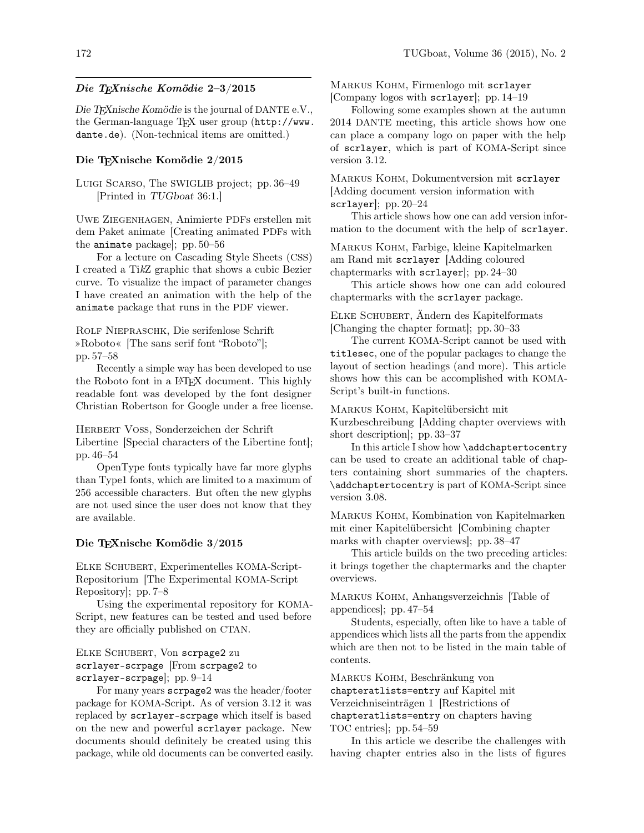## Die TEXnische Komödie 2–3/2015

Die TEXnische Komödie is the journal of DANTE e.V., the German-language TEX user group (http://www. dante.de). (Non-technical items are omitted.)

## Die TEXnische Komödie 2/2015

Luigi Scarso, The SWIGLIB project; pp. 36–49 [Printed in TUGboat 36:1.]

Uwe Ziegenhagen, Animierte PDFs erstellen mit dem Paket animate [Creating animated PDFs with the animate package]; pp. 50–56

For a lecture on Cascading Style Sheets (CSS) I created a TikZ graphic that shows a cubic Bezier curve. To visualize the impact of parameter changes I have created an animation with the help of the animate package that runs in the PDF viewer.

Rolf Niepraschk, Die serifenlose Schrift »Roboto« [The sans serif font "Roboto"]; pp. 57–58

Recently a simple way has been developed to use the Roboto font in a LATEX document. This highly readable font was developed by the font designer Christian Robertson for Google under a free license.

Herbert Voß, Sonderzeichen der Schrift Libertine [Special characters of the Libertine font]; pp. 46–54

OpenType fonts typically have far more glyphs than Type1 fonts, which are limited to a maximum of 256 accessible characters. But often the new glyphs are not used since the user does not know that they are available.

## Die TEXnische Komödie 3/2015

Elke Schubert, Experimentelles KOMA-Script-Repositorium [The Experimental KOMA-Script Repository]; pp. 7–8

Using the experimental repository for KOMA-Script, new features can be tested and used before they are officially published on CTAN.

Elke Schubert, Von scrpage2 zu scrlayer-scrpage [From scrpage2 to scrlayer-scrpage]; pp. 9–14

For many years scrpage2 was the header/footer package for KOMA-Script. As of version 3.12 it was replaced by scrlayer-scrpage which itself is based on the new and powerful scrlayer package. New documents should definitely be created using this package, while old documents can be converted easily. Markus Kohm, Firmenlogo mit scrlayer [Company logos with scrlayer]; pp. 14–19

Following some examples shown at the autumn 2014 DANTE meeting, this article shows how one can place a company logo on paper with the help of scrlayer, which is part of KOMA-Script since version 3.12.

Markus Kohm, Dokumentversion mit scrlayer [Adding document version information with scrlayer]; pp. 20–24

This article shows how one can add version information to the document with the help of scrlayer.

Markus Kohm, Farbige, kleine Kapitelmarken am Rand mit scrlayer [Adding coloured chaptermarks with scrlayer]; pp. 24–30

This article shows how one can add coloured chaptermarks with the scrlayer package.

Elke Schubert, Ändern des Kapitelformats [Changing the chapter format]; pp. 30–33

The current KOMA-Script cannot be used with titlesec, one of the popular packages to change the layout of section headings (and more). This article shows how this can be accomplished with KOMA-Script's built-in functions.

Markus Kohm, Kapitelübersicht mit

Kurzbeschreibung [Adding chapter overviews with short description]; pp. 33–37

In this article I show how \addchaptertocentry can be used to create an additional table of chapters containing short summaries of the chapters. \addchaptertocentry is part of KOMA-Script since version 3.08.

Markus Kohm, Kombination von Kapitelmarken mit einer Kapitelübersicht [Combining chapter marks with chapter overviews]; pp. 38–47

This article builds on the two preceding articles: it brings together the chaptermarks and the chapter overviews.

Markus Kohm, Anhangsverzeichnis [Table of appendices]; pp. 47–54

Students, especially, often like to have a table of appendices which lists all the parts from the appendix which are then not to be listed in the main table of contents.

Markus Kohm, Beschränkung von chapteratlists=entry auf Kapitel mit Verzeichniseinträgen 1 [Restrictions of

chapteratlists=entry on chapters having TOC entries]; pp. 54–59

In this article we describe the challenges with having chapter entries also in the lists of figures